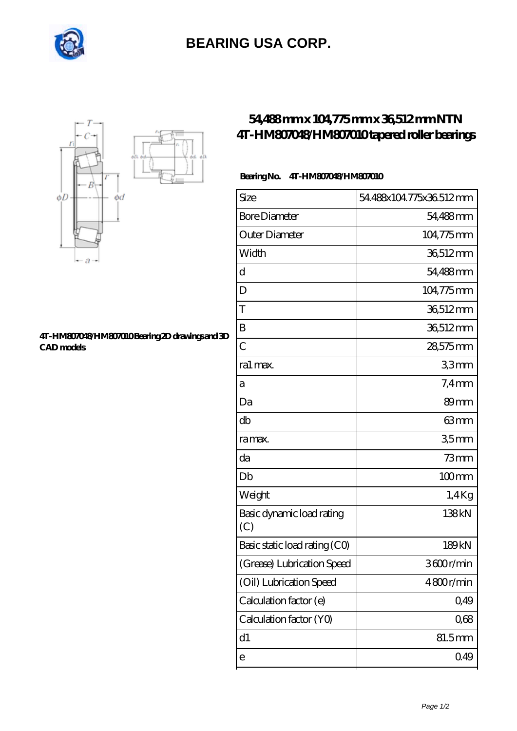

# **[BEARING USA CORP.](https://internationalbonsaiforum.com)**



#### **[4T-HM807048/HM807010 Bearing 2D drawings and 3D](https://internationalbonsaiforum.com/pic-65127876.html) [CAD models](https://internationalbonsaiforum.com/pic-65127876.html)**

## **[54,488 mm x 104,775 mm x 36,512 mm NTN](https://internationalbonsaiforum.com/ntn-4t-hm807048-hm807010-bearing/) [4T-HM807048/HM807010 tapered roller bearings](https://internationalbonsaiforum.com/ntn-4t-hm807048-hm807010-bearing/)**

### **Bearing No. 4T-HM807048/HM807010**

| Size                             | 54.488x104.775x36.512mm |
|----------------------------------|-------------------------|
| <b>Bore Diameter</b>             | 54,488mm                |
| Outer Diameter                   | 104,775mm               |
| Width                            | 36,512mm                |
| d                                | 54,488mm                |
| D                                | 104,775mm               |
| T                                | 36,512mm                |
| Β                                | 36,512mm                |
| $\overline{C}$                   | 28,575mm                |
| ra1 max.                         | 33mm                    |
| а                                | $7.4 \,\mathrm{mm}$     |
| Da                               | 89 <sub>mm</sub>        |
| db                               | 63mm                    |
| ra max.                          | 35mm                    |
| da                               | $73$ mm                 |
| Db                               | $100$ <sub>mm</sub>     |
| Weight                           | $1.4$ Kg                |
| Basic dynamic load rating<br>(C) | 138kN                   |
| Basic static load rating (CO)    | 189 <sub>kN</sub>       |
| (Grease) Lubrication Speed       | 3600r/min               |
| (Oil) Lubrication Speed          | 4800r/min               |
| Calculation factor (e)           | 0,49                    |
| Calculation factor (YO)          | 0,68                    |
| $\mathrm{d}1$                    | 81.5mm                  |
| e                                | 0.49                    |